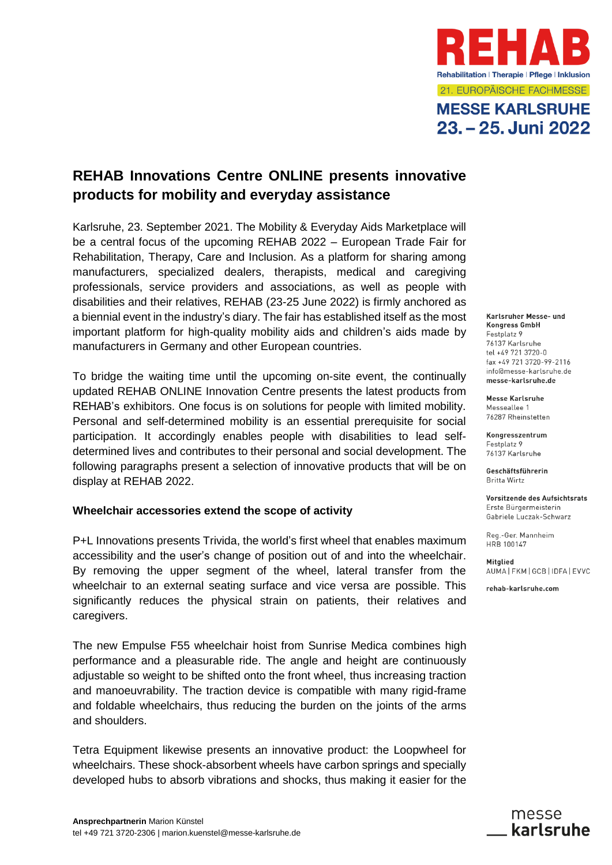

# **MESSE KARLSRUHE** 23. - 25. Juni 2022

# **REHAB Innovations Centre ONLINE presents innovative products for mobility and everyday assistance**

Karlsruhe, 23. September 2021. The Mobility & Everyday Aids Marketplace will be a central focus of the upcoming REHAB 2022 – European Trade Fair for Rehabilitation, Therapy, Care and Inclusion. As a platform for sharing among manufacturers, specialized dealers, therapists, medical and caregiving professionals, service providers and associations, as well as people with disabilities and their relatives, REHAB (23-25 June 2022) is firmly anchored as a biennial event in the industry's diary. The fair has established itself as the most important platform for high-quality mobility aids and children's aids made by manufacturers in Germany and other European countries.

To bridge the waiting time until the upcoming on-site event, the continually updated REHAB ONLINE Innovation Centre presents the latest products from REHAB's exhibitors. One focus is on solutions for people with limited mobility. Personal and self-determined mobility is an essential prerequisite for social participation. It accordingly enables people with disabilities to lead selfdetermined lives and contributes to their personal and social development. The following paragraphs present a selection of innovative products that will be on display at REHAB 2022.

## **Wheelchair accessories extend the scope of activity**

P+L Innovations presents Trivida, the world's first wheel that enables maximum accessibility and the user's change of position out of and into the wheelchair. By removing the upper segment of the wheel, lateral transfer from the wheelchair to an external seating surface and vice versa are possible. This significantly reduces the physical strain on patients, their relatives and caregivers.

The new Empulse F55 wheelchair hoist from Sunrise Medica combines high performance and a pleasurable ride. The angle and height are continuously adjustable so weight to be shifted onto the front wheel, thus increasing traction and manoeuvrability. The traction device is compatible with many rigid-frame and foldable wheelchairs, thus reducing the burden on the joints of the arms and shoulders.

Tetra Equipment likewise presents an innovative product: the Loopwheel for wheelchairs. These shock-absorbent wheels have carbon springs and specially developed hubs to absorb vibrations and shocks, thus making it easier for the Karlsruher Messe- und **Kongress GmbH** Festplatz 9 76137 Karlsruhe tel +49 721 3720-0  $f_{\text{av}} + 697213720 - 99 - 2116$ info@messe-karlsruhe.de messe-karlsruhe.de

**Messe Karlsruhe** Messeallee 1 76287 Rheinstetten

Kongresszentrum Festplatz 9 76137 Karlsruhe

Geschäftsführerin **Britta Wirtz** 

Vorsitzende des Aufsichtsrats Erste Bürgermeisterin Gabriele Luczak-Schwarz

Reg.-Ger. Mannheim HRB 100147

Mitalied AUMA FKM GCB IDFA EVVC

rehab-karlsruhe.com

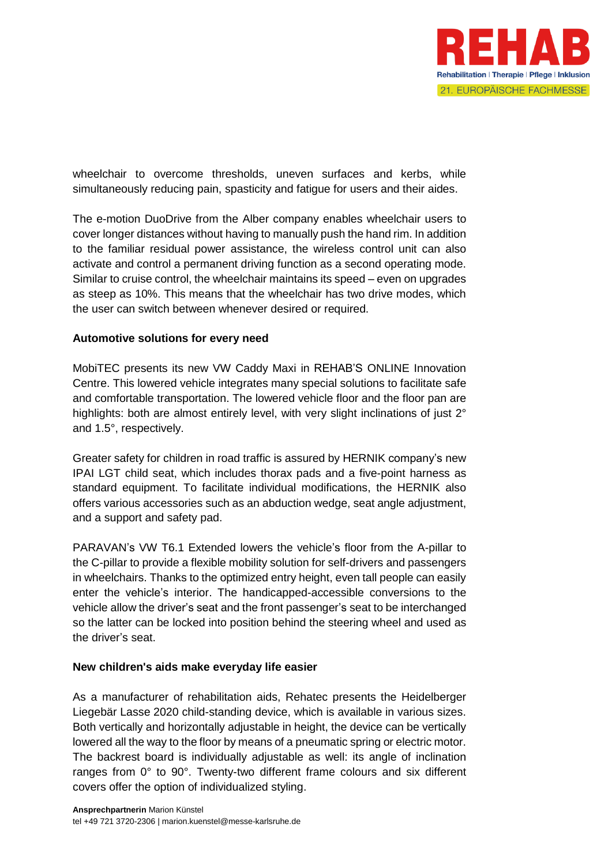

wheelchair to overcome thresholds, uneven surfaces and kerbs, while simultaneously reducing pain, spasticity and fatigue for users and their aides.

The e-motion DuoDrive from the Alber company enables wheelchair users to cover longer distances without having to manually push the hand rim. In addition to the familiar residual power assistance, the wireless control unit can also activate and control a permanent driving function as a second operating mode. Similar to cruise control, the wheelchair maintains its speed – even on upgrades as steep as 10%. This means that the wheelchair has two drive modes, which the user can switch between whenever desired or required.

# **Automotive solutions for every need**

MobiTEC presents its new VW Caddy Maxi in REHAB'S ONLINE Innovation Centre. This lowered vehicle integrates many special solutions to facilitate safe and comfortable transportation. The lowered vehicle floor and the floor pan are highlights: both are almost entirely level, with very slight inclinations of just 2° and 1.5°, respectively.

Greater safety for children in road traffic is assured by HERNIK company's new IPAI LGT child seat, which includes thorax pads and a five-point harness as standard equipment. To facilitate individual modifications, the HERNIK also offers various accessories such as an abduction wedge, seat angle adjustment, and a support and safety pad.

PARAVAN's VW T6.1 Extended lowers the vehicle's floor from the A-pillar to the C-pillar to provide a flexible mobility solution for self-drivers and passengers in wheelchairs. Thanks to the optimized entry height, even tall people can easily enter the vehicle's interior. The handicapped-accessible conversions to the vehicle allow the driver's seat and the front passenger's seat to be interchanged so the latter can be locked into position behind the steering wheel and used as the driver's seat.

## **New children's aids make everyday life easier**

As a manufacturer of rehabilitation aids, Rehatec presents the Heidelberger Liegebär Lasse 2020 child-standing device, which is available in various sizes. Both vertically and horizontally adjustable in height, the device can be vertically lowered all the way to the floor by means of a pneumatic spring or electric motor. The backrest board is individually adjustable as well: its angle of inclination ranges from 0° to 90°. Twenty-two different frame colours and six different covers offer the option of individualized styling.